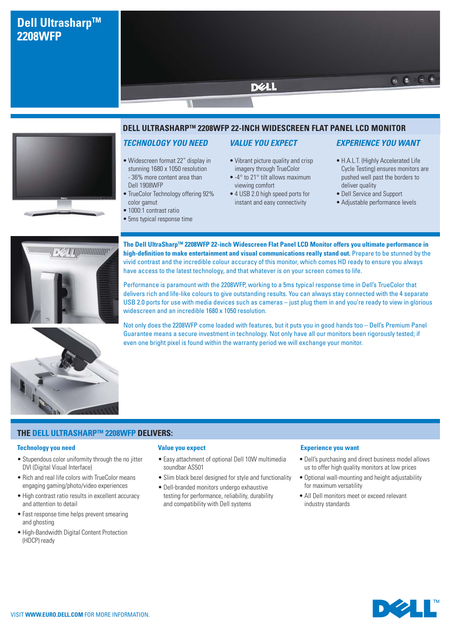# **Dell Ultrasharp™ 2208WFP**



### **DELL ULTRASHARPTM 2208WFP 22-INCH WIDESCREEN FLAT PANEL LCD MONITOR**

**DELL** 

# *TECHNOLOGY YOU NEED*

- Widescreen format 22" display in stunning 1680 x 1050 resolution - 36% more content area than Dell 1908WFP
- TrueColor Technology offering 92% color gamut
- 1000:1 contrast ratio
- 5ms typical response time

### *VALUE YOU EXPECT*

- Vibrant picture quality and crisp imagery through TrueColor
- -4° to 21° tilt allows maximum viewing comfort
- 4 USB 2.0 high speed ports for instant and easy connectivity

# *EXPERIENCE YOU WANT*

 $\circ$   $\circ$   $\circ$  +

- H.A.L.T. (Highly Accelerated Life Cycle Testing) ensures monitors are pushed well past the borders to deliver quality
- Dell Service and Support
- Adjustable performance levels



**The Dell UltraSharpTM 2208WFP 22-inch Widescreen Flat Panel LCD Monitor offers you ultimate performance in high-definition to make entertainment and visual communications really stand out.** Prepare to be stunned by the vivid contrast and the incredible colour accuracy of this monitor, which comes HD ready to ensure you always have access to the latest technology, and that whatever is on your screen comes to life.

Performance is paramount with the 2208WFP, working to a 5ms typical response time in Dell's TrueColor that delivers rich and life-like colours to give outstanding results. You can always stay connected with the 4 separate USB 2.0 ports for use with media devices such as cameras – just plug them in and you're ready to view in glorious widescreen and an incredible 1680 x 1050 resolution.

Not only does the 2208WFP come loaded with features, but it puts you in good hands too – Dell's Premium Panel Guarantee means a secure investment in technology. Not only have all our monitors been rigorously tested; if even one bright pixel is found within the warranty period we will exchange your monitor.



**THE DELL ULTRASHARPTM 2208WFP DELIVERS:**

#### **Technology you need**

- Stupendous color uniformity through the no jitter DVI (Digital Visual Interface)
- Rich and real life colors with TrueColor means engaging gaming/photo/video experiences
- High contrast ratio results in excellent accuracy and attention to detail
- Fast response time helps prevent smearing and ghosting
- High-Bandwidth Digital Content Protection (HDCP) ready

#### **Value you expect**

- Easy attachment of optional Dell 10W multimedia soundbar AS501
- Slim black bezel designed for style and functionality
- Dell-branded monitors undergo exhaustive testing for performance, reliability, durability and compatibility with Dell systems

#### **Experience you want**

- Dell's purchasing and direct business model allows us to offer high quality monitors at low prices
- Optional wall-mounting and height adjustability for maximum versatility
- All Dell monitors meet or exceed relevant industry standards